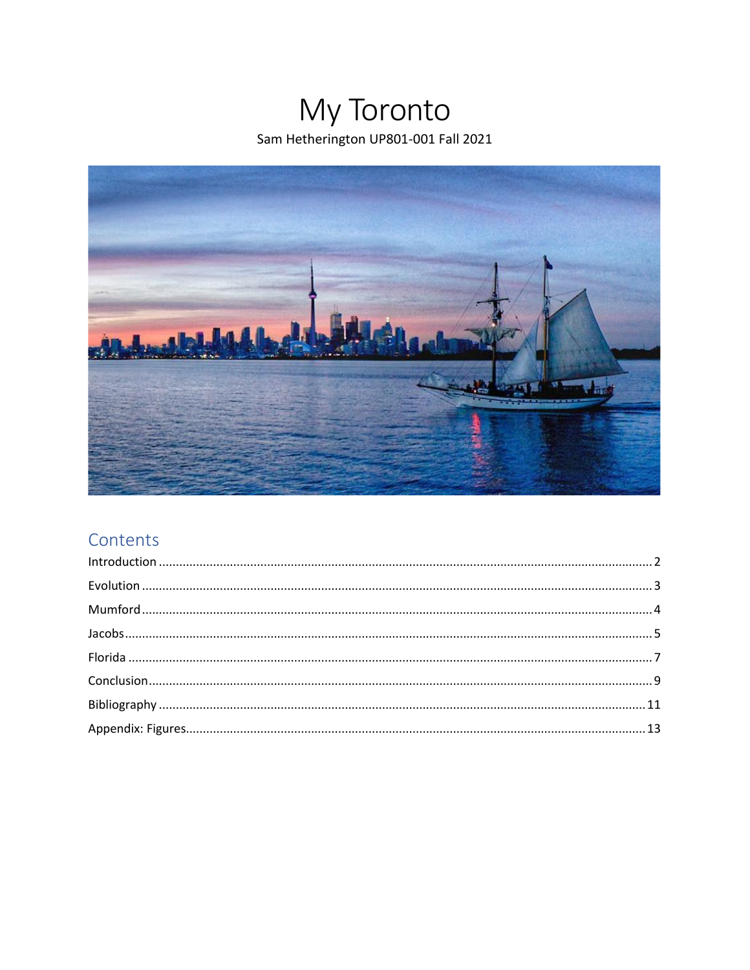# My Toronto Sam Hetherington UP801-001 Fall 2021



### Contents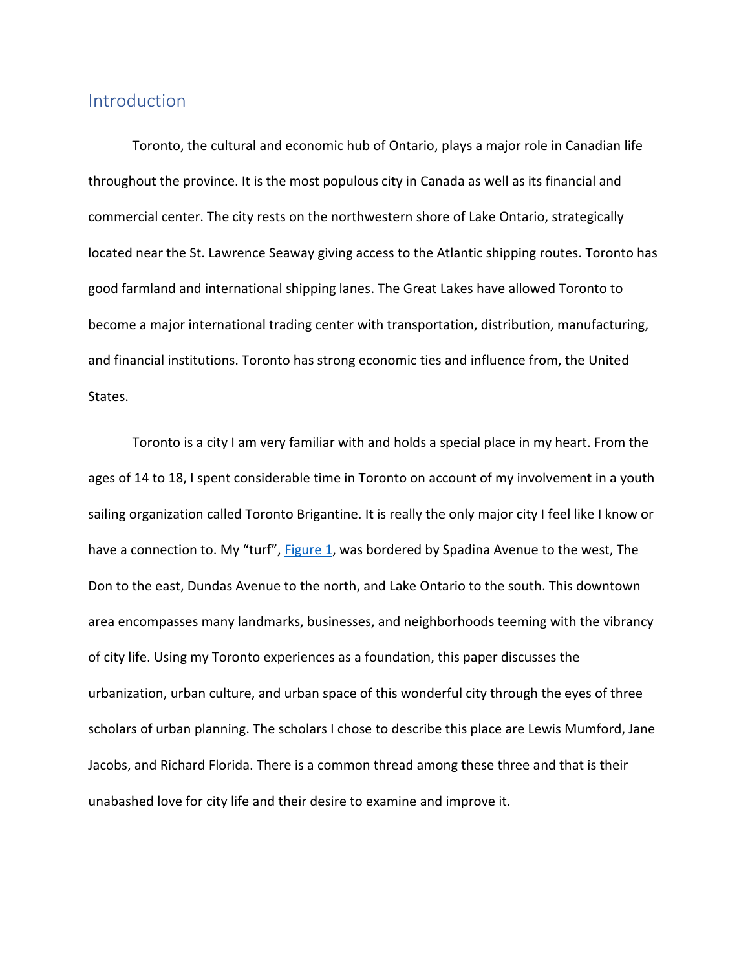#### <span id="page-1-0"></span>Introduction

Toronto, the cultural and economic hub of Ontario, plays a major role in Canadian life throughout the province. It is the most populous city in Canada as well as its financial and commercial center. The city rests on the northwestern shore of Lake Ontario, strategically located near the St. Lawrence Seaway giving access to the Atlantic shipping routes. Toronto has good farmland and international shipping lanes. The Great Lakes have allowed Toronto to become a major international trading center with transportation, distribution, manufacturing, and financial institutions. Toronto has strong economic ties and influence from, the United States.

<span id="page-1-1"></span>Toronto is a city I am very familiar with and holds a special place in my heart. From the ages of 14 to 18, I spent considerable time in Toronto on account of my involvement in a youth sailing organization called Toronto Brigantine. It is really the only major city I feel like I know or have a connection to. My "turf", **Figure 1**, was bordered by Spadina Avenue to the west, The Don to the east, Dundas Avenue to the north, and Lake Ontario to the south. This downtown area encompasses many landmarks, businesses, and neighborhoods teeming with the vibrancy of city life. Using my Toronto experiences as a foundation, this paper discusses the urbanization, urban culture, and urban space of this wonderful city through the eyes of three scholars of urban planning. The scholars I chose to describe this place are Lewis Mumford, Jane Jacobs, and Richard Florida. There is a common thread among these three and that is their unabashed love for city life and their desire to examine and improve it.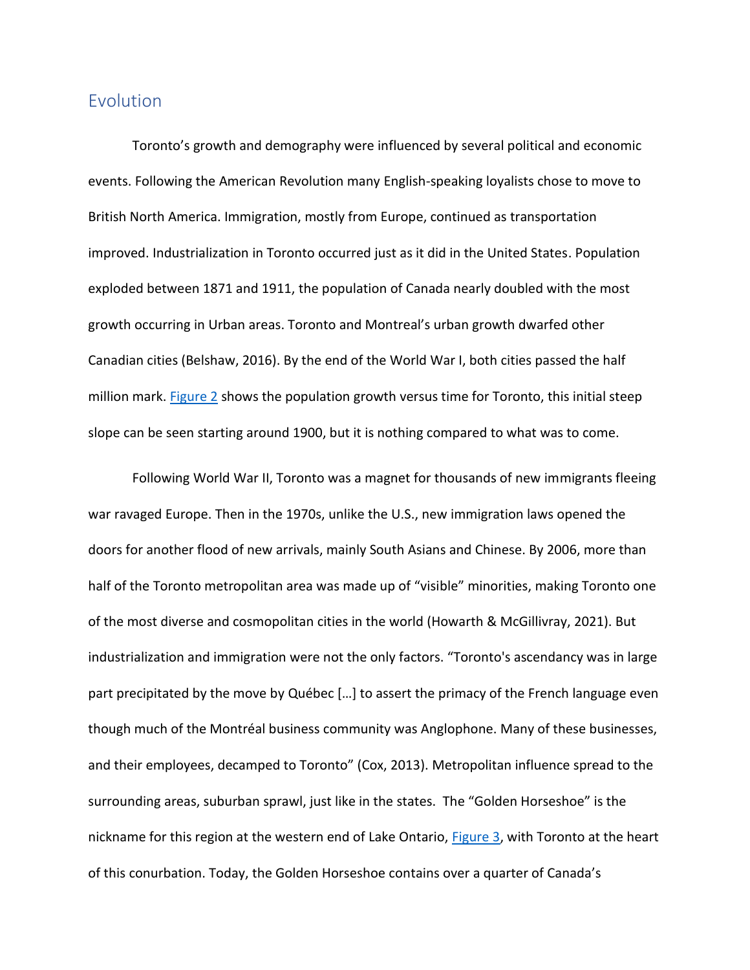#### <span id="page-2-0"></span>Evolution

Toronto's growth and demography were influenced by several political and economic events. Following the American Revolution many English-speaking loyalists chose to move to British North America. Immigration, mostly from Europe, continued as transportation improved. Industrialization in Toronto occurred just as it did in the United States. Population exploded between 1871 and 1911, the population of Canada nearly doubled with the most growth occurring in Urban areas. Toronto and Montreal's urban growth dwarfed other Canadian cities (Belshaw, 2016). By the end of the World War I, both cities passed the half million mark. [Figure 2](#page-13-0) shows the population growth versus time for Toronto, this initial steep slope can be seen starting around 1900, but it is nothing compared to what was to come.

<span id="page-2-2"></span><span id="page-2-1"></span>Following World War II, Toronto was a magnet for thousands of new immigrants fleeing war ravaged Europe. Then in the 1970s, unlike the U.S., new immigration laws opened the doors for another flood of new arrivals, mainly South Asians and Chinese. By 2006, more than half of the Toronto metropolitan area was made up of "visible" minorities, making Toronto one of the most diverse and cosmopolitan cities in the world (Howarth & McGillivray, 2021). But industrialization and immigration were not the only factors. "Toronto's ascendancy was in large part precipitated by the move by Québec […] to assert the primacy of the French language even though much of the Montréal business community was Anglophone. Many of these businesses, and their employees, decamped to Toronto" (Cox, 2013). Metropolitan influence spread to the surrounding areas, suburban sprawl, just like in the states. The "Golden Horseshoe" is the nickname for this region at the western end of Lake Ontario, [Figure 3,](#page-13-1) with Toronto at the heart of this conurbation. Today, the Golden Horseshoe contains over a quarter of Canada's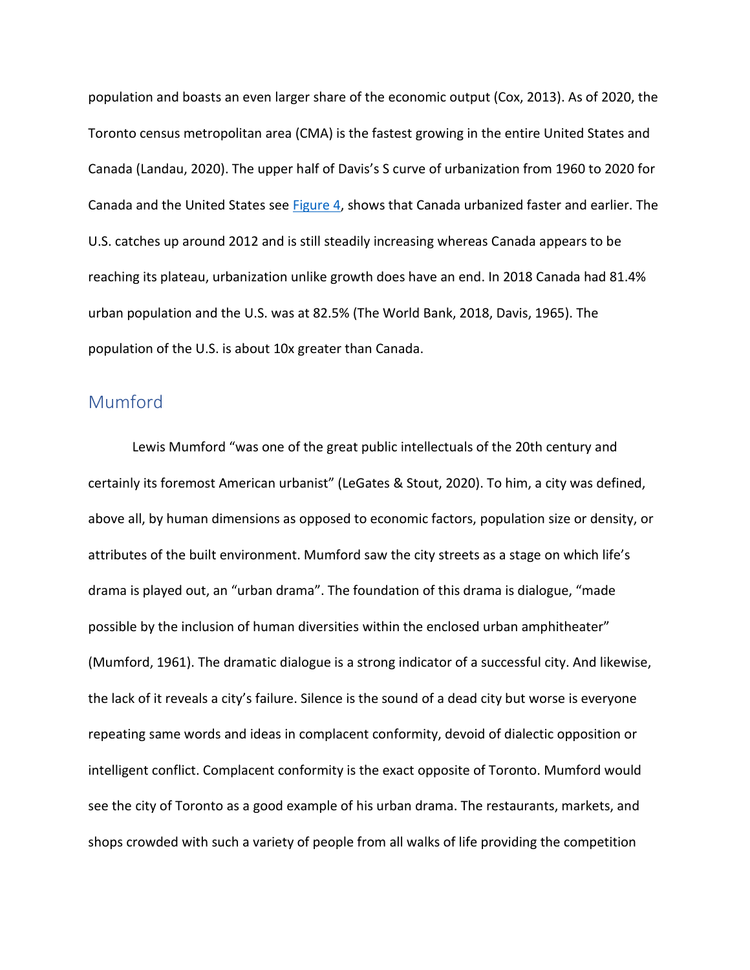<span id="page-3-1"></span>population and boasts an even larger share of the economic output (Cox, 2013). As of 2020, the Toronto census metropolitan area (CMA) is the fastest growing in the entire United States and Canada (Landau, 2020). The upper half of Davis's S curve of urbanization from 1960 to 2020 for Canada and the United States see [Figure 4,](#page-14-0) shows that Canada urbanized faster and earlier. The U.S. catches up around 2012 and is still steadily increasing whereas Canada appears to be reaching its plateau, urbanization unlike growth does have an end. In 2018 Canada had 81.4% urban population and the U.S. was at 82.5% (The World Bank, 2018, Davis, 1965). The population of the U.S. is about 10x greater than Canada.

### <span id="page-3-0"></span>Mumford

Lewis Mumford "was one of the great public intellectuals of the 20th century and certainly its foremost American urbanist" (LeGates & Stout, 2020). To him, a city was defined, above all, by human dimensions as opposed to economic factors, population size or density, or attributes of the built environment. Mumford saw the city streets as a stage on which life's drama is played out, an "urban drama". The foundation of this drama is dialogue, "made possible by the inclusion of human diversities within the enclosed urban amphitheater" (Mumford, 1961). The dramatic dialogue is a strong indicator of a successful city. And likewise, the lack of it reveals a city's failure. Silence is the sound of a dead city but worse is everyone repeating same words and ideas in complacent conformity, devoid of dialectic opposition or intelligent conflict. Complacent conformity is the exact opposite of Toronto. Mumford would see the city of Toronto as a good example of his urban drama. The restaurants, markets, and shops crowded with such a variety of people from all walks of life providing the competition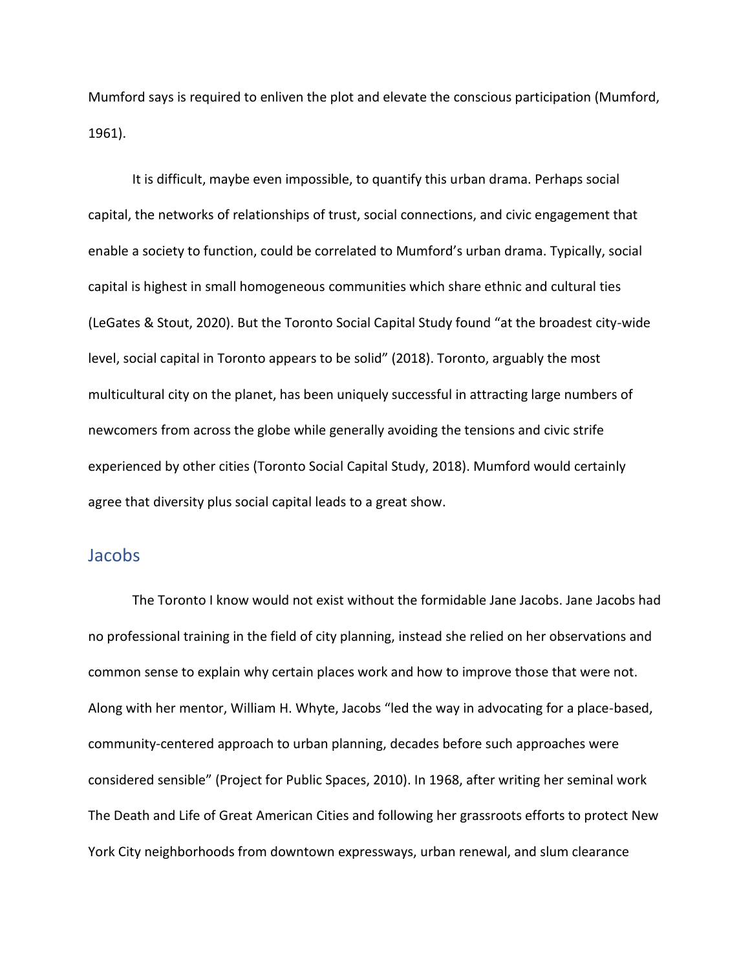Mumford says is required to enliven the plot and elevate the conscious participation (Mumford, 1961).

It is difficult, maybe even impossible, to quantify this urban drama. Perhaps social capital, the networks of relationships of trust, social connections, and civic engagement that enable a society to function, could be correlated to Mumford's urban drama. Typically, social capital is highest in small homogeneous communities which share ethnic and cultural ties (LeGates & Stout, 2020). But the Toronto Social Capital Study found "at the broadest city-wide level, social capital in Toronto appears to be solid" (2018). Toronto, arguably the most multicultural city on the planet, has been uniquely successful in attracting large numbers of newcomers from across the globe while generally avoiding the tensions and civic strife experienced by other cities (Toronto Social Capital Study, 2018). Mumford would certainly agree that diversity plus social capital leads to a great show.

#### <span id="page-4-0"></span>Jacobs

The Toronto I know would not exist without the formidable Jane Jacobs. Jane Jacobs had no professional training in the field of city planning, instead she relied on her observations and common sense to explain why certain places work and how to improve those that were not. Along with her mentor, William H. Whyte, Jacobs "led the way in advocating for a place-based, community-centered approach to urban planning, decades before such approaches were considered sensible" (Project for Public Spaces, 2010). In 1968, after writing her seminal work The Death and Life of Great American Cities and following her grassroots efforts to protect New York City neighborhoods from downtown expressways, urban renewal, and slum clearance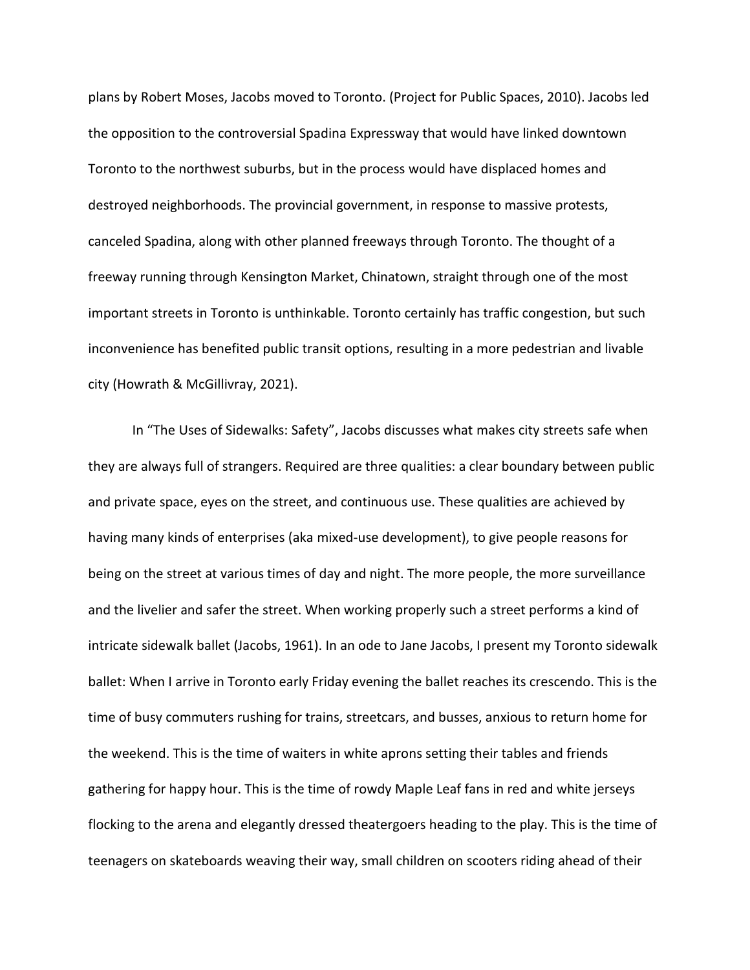plans by Robert Moses, Jacobs moved to Toronto. (Project for Public Spaces, 2010). Jacobs led the opposition to the controversial Spadina Expressway that would have linked downtown Toronto to the northwest suburbs, but in the process would have displaced homes and destroyed neighborhoods. The provincial government, in response to massive protests, canceled Spadina, along with other planned freeways through Toronto. The thought of a freeway running through Kensington Market, Chinatown, straight through one of the most important streets in Toronto is unthinkable. Toronto certainly has traffic congestion, but such inconvenience has benefited public transit options, resulting in a more pedestrian and livable city (Howrath & McGillivray, 2021).

In "The Uses of Sidewalks: Safety", Jacobs discusses what makes city streets safe when they are always full of strangers. Required are three qualities: a clear boundary between public and private space, eyes on the street, and continuous use. These qualities are achieved by having many kinds of enterprises (aka mixed-use development), to give people reasons for being on the street at various times of day and night. The more people, the more surveillance and the livelier and safer the street. When working properly such a street performs a kind of intricate sidewalk ballet (Jacobs, 1961). In an ode to Jane Jacobs, I present my Toronto sidewalk ballet: When I arrive in Toronto early Friday evening the ballet reaches its crescendo. This is the time of busy commuters rushing for trains, streetcars, and busses, anxious to return home for the weekend. This is the time of waiters in white aprons setting their tables and friends gathering for happy hour. This is the time of rowdy Maple Leaf fans in red and white jerseys flocking to the arena and elegantly dressed theatergoers heading to the play. This is the time of teenagers on skateboards weaving their way, small children on scooters riding ahead of their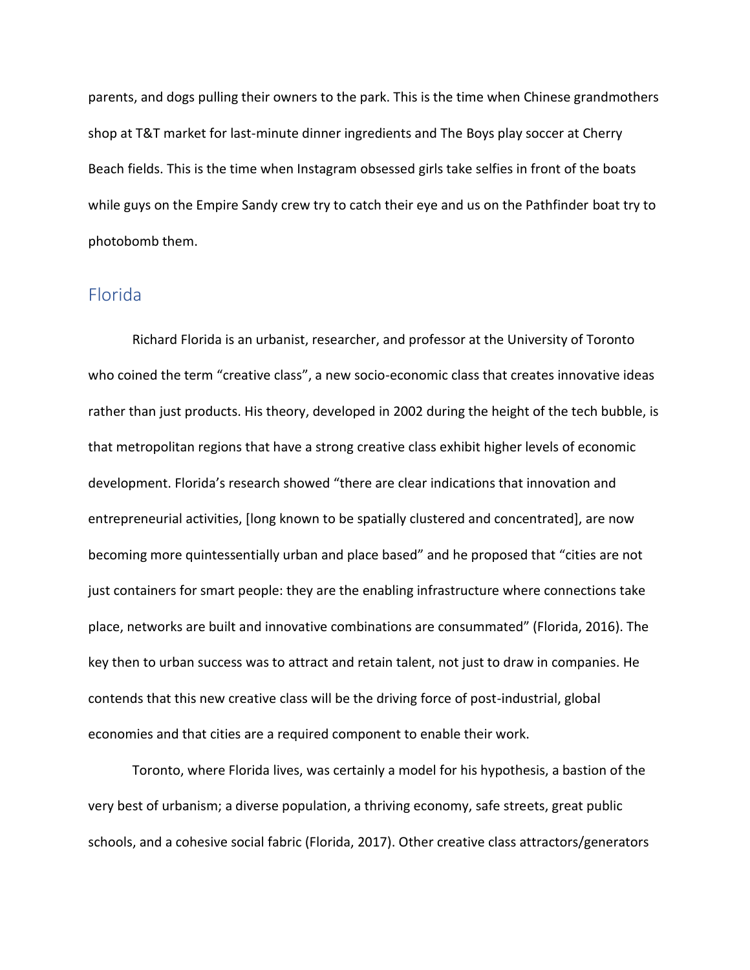parents, and dogs pulling their owners to the park. This is the time when Chinese grandmothers shop at T&T market for last-minute dinner ingredients and The Boys play soccer at Cherry Beach fields. This is the time when Instagram obsessed girls take selfies in front of the boats while guys on the Empire Sandy crew try to catch their eye and us on the Pathfinder boat try to photobomb them.

#### <span id="page-6-0"></span>Florida

Richard Florida is an urbanist, researcher, and professor at the University of Toronto who coined the term "creative class", a new socio-economic class that creates innovative ideas rather than just products. His theory, developed in 2002 during the height of the tech bubble, is that metropolitan regions that have a strong creative class exhibit higher levels of economic development. Florida's research showed "there are clear indications that innovation and entrepreneurial activities, [long known to be spatially clustered and concentrated], are now becoming more quintessentially urban and place based" and he proposed that "cities are not just containers for smart people: they are the enabling infrastructure where connections take place, networks are built and innovative combinations are consummated" (Florida, 2016). The key then to urban success was to attract and retain talent, not just to draw in companies. He contends that this new creative class will be the driving force of post-industrial, global economies and that cities are a required component to enable their work.

Toronto, where Florida lives, was certainly a model for his hypothesis, a bastion of the very best of urbanism; a diverse population, a thriving economy, safe streets, great public schools, and a cohesive social fabric (Florida, 2017). Other creative class attractors/generators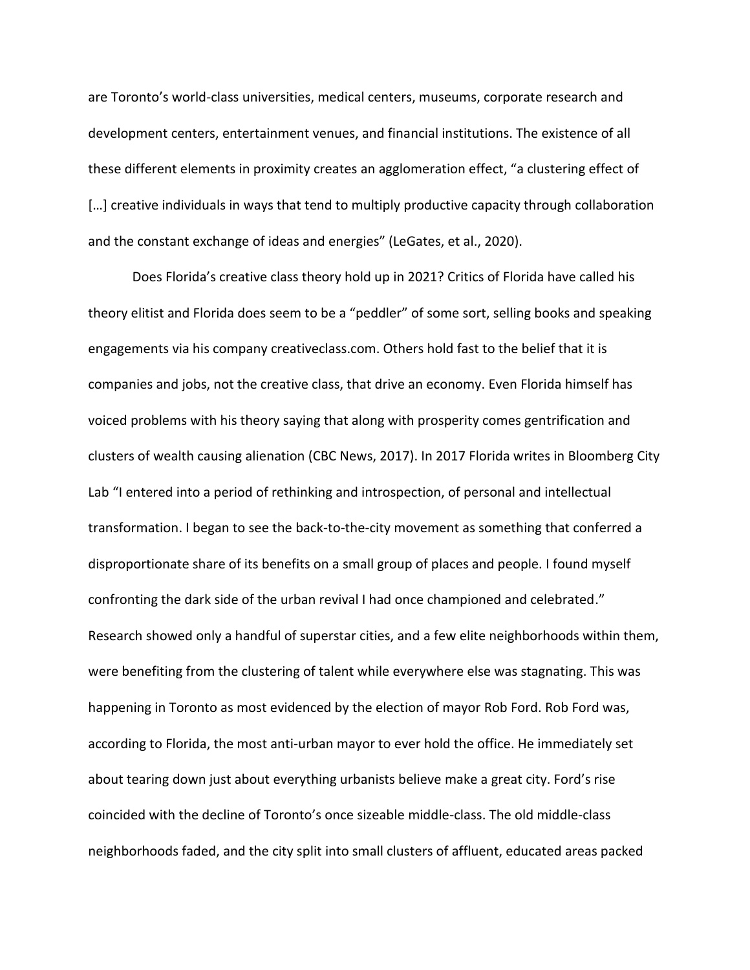are Toronto's world-class universities, medical centers, museums, corporate research and development centers, entertainment venues, and financial institutions. The existence of all these different elements in proximity creates an agglomeration effect, "a clustering effect of [...] creative individuals in ways that tend to multiply productive capacity through collaboration and the constant exchange of ideas and energies" (LeGates, et al., 2020).

Does Florida's creative class theory hold up in 2021? Critics of Florida have called his theory elitist and Florida does seem to be a "peddler" of some sort, selling books and speaking engagements via his company creativeclass.com. Others hold fast to the belief that it is companies and jobs, not the creative class, that drive an economy. Even Florida himself has voiced problems with his theory saying that along with prosperity comes gentrification and clusters of wealth causing alienation (CBC News, 2017). In 2017 Florida writes in Bloomberg City Lab "I entered into a period of rethinking and introspection, of personal and intellectual transformation. I began to see the back-to-the-city movement as something that conferred a disproportionate share of its benefits on a small group of places and people. I found myself confronting the dark side of the urban revival I had once championed and celebrated." Research showed only a handful of superstar cities, and a few elite neighborhoods within them, were benefiting from the clustering of talent while everywhere else was stagnating. This was happening in Toronto as most evidenced by the election of mayor Rob Ford. Rob Ford was, according to Florida, the most anti-urban mayor to ever hold the office. He immediately set about tearing down just about everything urbanists believe make a great city. Ford's rise coincided with the decline of Toronto's once sizeable middle-class. The old middle-class neighborhoods faded, and the city split into small clusters of affluent, educated areas packed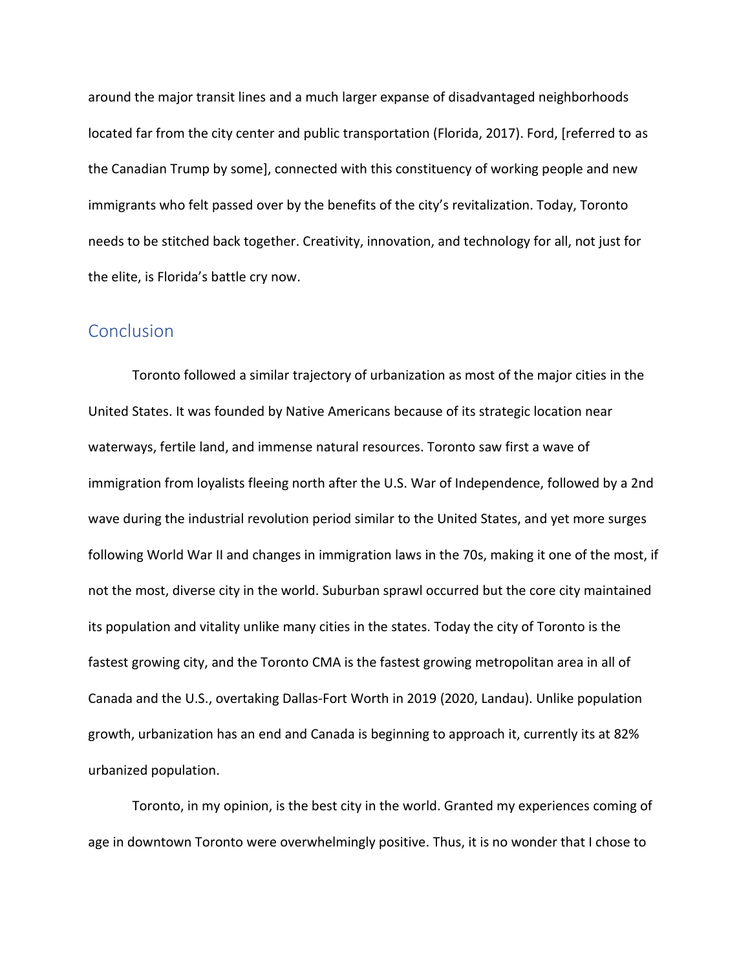around the major transit lines and a much larger expanse of disadvantaged neighborhoods located far from the city center and public transportation (Florida, 2017). Ford, [referred to as the Canadian Trump by some], connected with this constituency of working people and new immigrants who felt passed over by the benefits of the city's revitalization. Today, Toronto needs to be stitched back together. Creativity, innovation, and technology for all, not just for the elite, is Florida's battle cry now.

#### <span id="page-8-0"></span>**Conclusion**

Toronto followed a similar trajectory of urbanization as most of the major cities in the United States. It was founded by Native Americans because of its strategic location near waterways, fertile land, and immense natural resources. Toronto saw first a wave of immigration from loyalists fleeing north after the U.S. War of Independence, followed by a 2nd wave during the industrial revolution period similar to the United States, and yet more surges following World War II and changes in immigration laws in the 70s, making it one of the most, if not the most, diverse city in the world. Suburban sprawl occurred but the core city maintained its population and vitality unlike many cities in the states. Today the city of Toronto is the fastest growing city, and the Toronto CMA is the fastest growing metropolitan area in all of Canada and the U.S., overtaking Dallas-Fort Worth in 2019 (2020, Landau). Unlike population growth, urbanization has an end and Canada is beginning to approach it, currently its at 82% urbanized population.

Toronto, in my opinion, is the best city in the world. Granted my experiences coming of age in downtown Toronto were overwhelmingly positive. Thus, it is no wonder that I chose to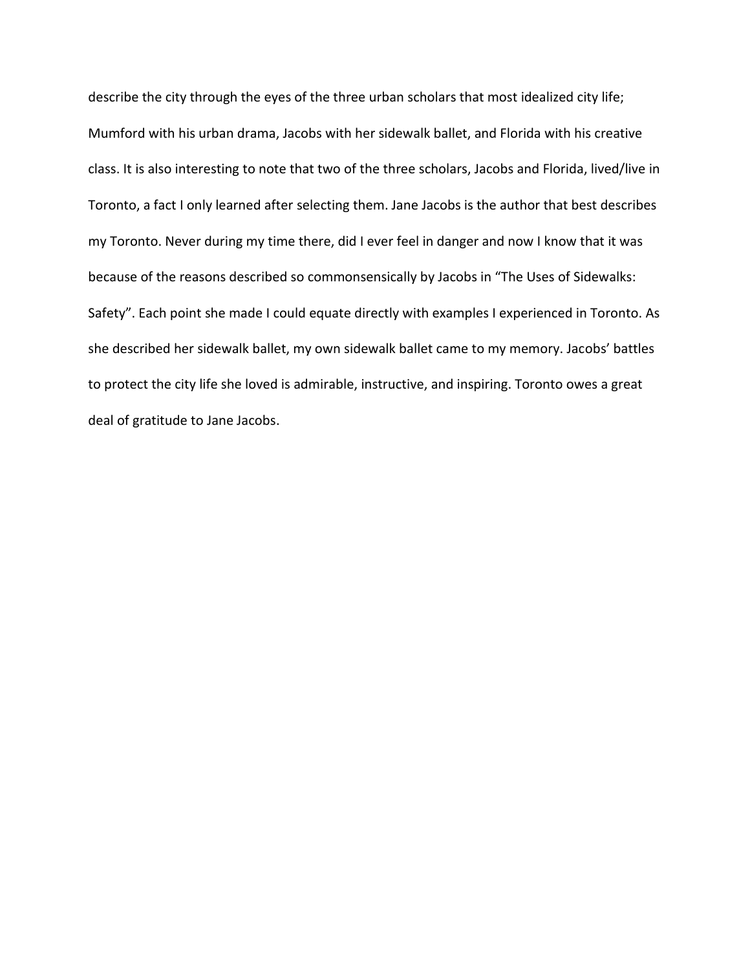describe the city through the eyes of the three urban scholars that most idealized city life; Mumford with his urban drama, Jacobs with her sidewalk ballet, and Florida with his creative class. It is also interesting to note that two of the three scholars, Jacobs and Florida, lived/live in Toronto, a fact I only learned after selecting them. Jane Jacobs is the author that best describes my Toronto. Never during my time there, did I ever feel in danger and now I know that it was because of the reasons described so commonsensically by Jacobs in "The Uses of Sidewalks: Safety". Each point she made I could equate directly with examples I experienced in Toronto. As she described her sidewalk ballet, my own sidewalk ballet came to my memory. Jacobs' battles to protect the city life she loved is admirable, instructive, and inspiring. Toronto owes a great deal of gratitude to Jane Jacobs.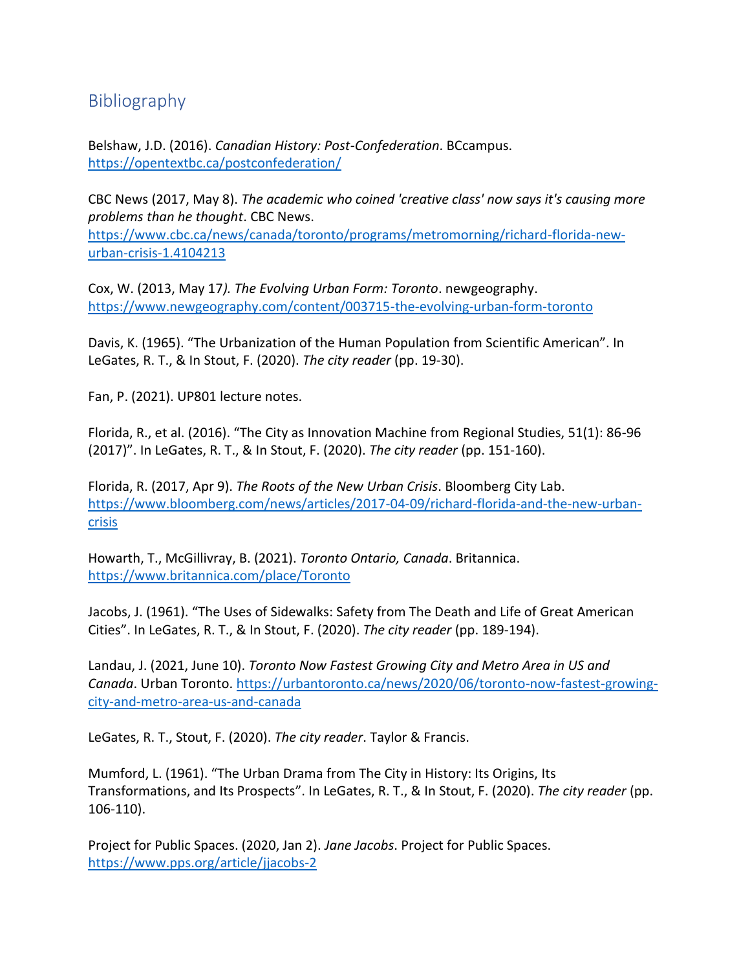### <span id="page-10-0"></span>Bibliography

Belshaw, J.D. (2016). *Canadian History: Post-Confederation*. BCcampus. <https://opentextbc.ca/postconfederation/>

CBC News (2017, May 8). *The academic who coined 'creative class' now says it's causing more problems than he thought*. CBC News. [https://www.cbc.ca/news/canada/toronto/programs/metromorning/richard-florida-new](https://www.cbc.ca/news/canada/toronto/programs/metromorning/richard-florida-new-urban-crisis-1.4104213)[urban-crisis-1.4104213](https://www.cbc.ca/news/canada/toronto/programs/metromorning/richard-florida-new-urban-crisis-1.4104213)

Cox, W. (2013, May 17*). The Evolving Urban Form: Toronto*. newgeography. <https://www.newgeography.com/content/003715-the-evolving-urban-form-toronto>

Davis, K. (1965). "The Urbanization of the Human Population from Scientific American". In LeGates, R. T., & In Stout, F. (2020). *The city reader* (pp. 19-30).

Fan, P. (2021). UP801 lecture notes.

Florida, R., et al. (2016). "The City as Innovation Machine from Regional Studies, 51(1): 86-96 (2017)". In LeGates, R. T., & In Stout, F. (2020). *The city reader* (pp. 151-160).

Florida, R. (2017, Apr 9). *The Roots of the New Urban Crisis*. Bloomberg City Lab. [https://www.bloomberg.com/news/articles/2017-04-09/richard-florida-and-the-new-urban](https://www.bloomberg.com/news/articles/2017-04-09/richard-florida-and-the-new-urban-crisis)[crisis](https://www.bloomberg.com/news/articles/2017-04-09/richard-florida-and-the-new-urban-crisis)

Howarth, T., McGillivray, B. (2021). *Toronto Ontario, Canada*. Britannica. <https://www.britannica.com/place/Toronto>

Jacobs, J. (1961). "The Uses of Sidewalks: Safety from The Death and Life of Great American Cities". In LeGates, R. T., & In Stout, F. (2020). *The city reader* (pp. 189-194).

Landau, J. (2021, June 10). *Toronto Now Fastest Growing City and Metro Area in US and Canada*. Urban Toronto. [https://urbantoronto.ca/news/2020/06/toronto-now-fastest-growing](https://urbantoronto.ca/news/2020/06/toronto-now-fastest-growing-city-and-metro-area-us-and-canada)[city-and-metro-area-us-and-canada](https://urbantoronto.ca/news/2020/06/toronto-now-fastest-growing-city-and-metro-area-us-and-canada)

LeGates, R. T., Stout, F. (2020). *The city reader*. Taylor & Francis.

Mumford, L. (1961). "The Urban Drama from The City in History: Its Origins, Its Transformations, and Its Prospects". In LeGates, R. T., & In Stout, F. (2020). *The city reader* (pp. 106-110).

Project for Public Spaces. (2020, Jan 2). *Jane Jacobs*. Project for Public Spaces. <https://www.pps.org/article/jjacobs-2>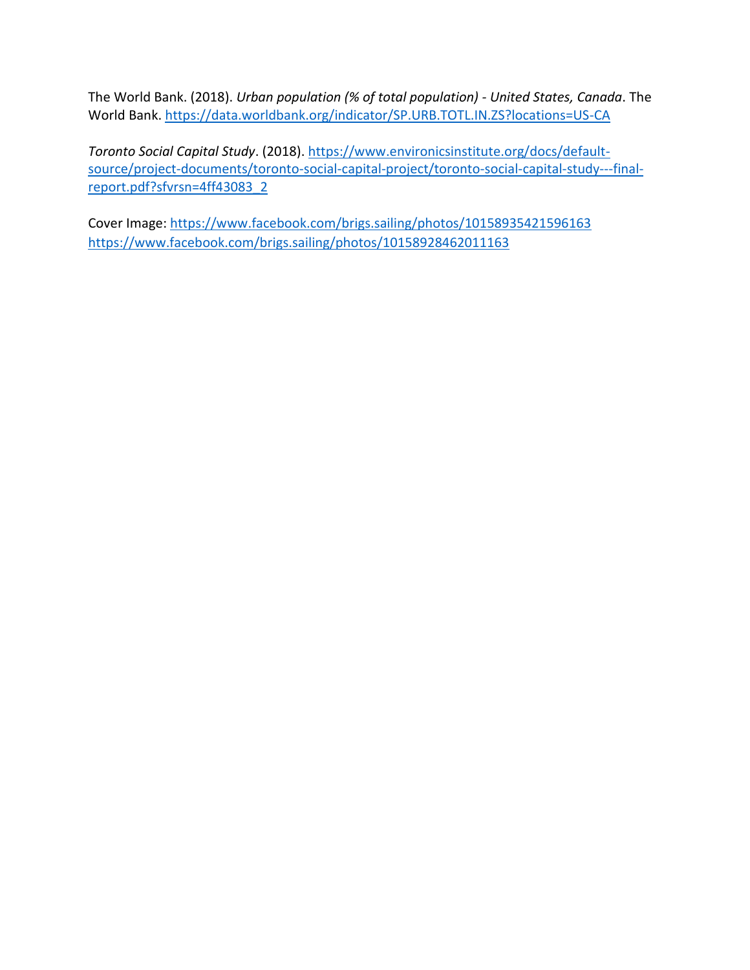The World Bank. (2018). *Urban population (% of total population) - United States, Canada*. The World Bank[. https://data.worldbank.org/indicator/SP.URB.TOTL.IN.ZS?locations=US-CA](https://data.worldbank.org/indicator/SP.URB.TOTL.IN.ZS?locations=US-CA)

*Toronto Social Capital Study*. (2018). [https://www.environicsinstitute.org/docs/default](https://www.environicsinstitute.org/docs/default-source/project-documents/toronto-social-capital-project/toronto-social-capital-study---final-report.pdf?sfvrsn=4ff43083_2)[source/project-documents/toronto-social-capital-project/toronto-social-capital-study---final](https://www.environicsinstitute.org/docs/default-source/project-documents/toronto-social-capital-project/toronto-social-capital-study---final-report.pdf?sfvrsn=4ff43083_2)[report.pdf?sfvrsn=4ff43083\\_2](https://www.environicsinstitute.org/docs/default-source/project-documents/toronto-social-capital-project/toronto-social-capital-study---final-report.pdf?sfvrsn=4ff43083_2)

Cover Image: <https://www.facebook.com/brigs.sailing/photos/10158935421596163> <https://www.facebook.com/brigs.sailing/photos/10158928462011163>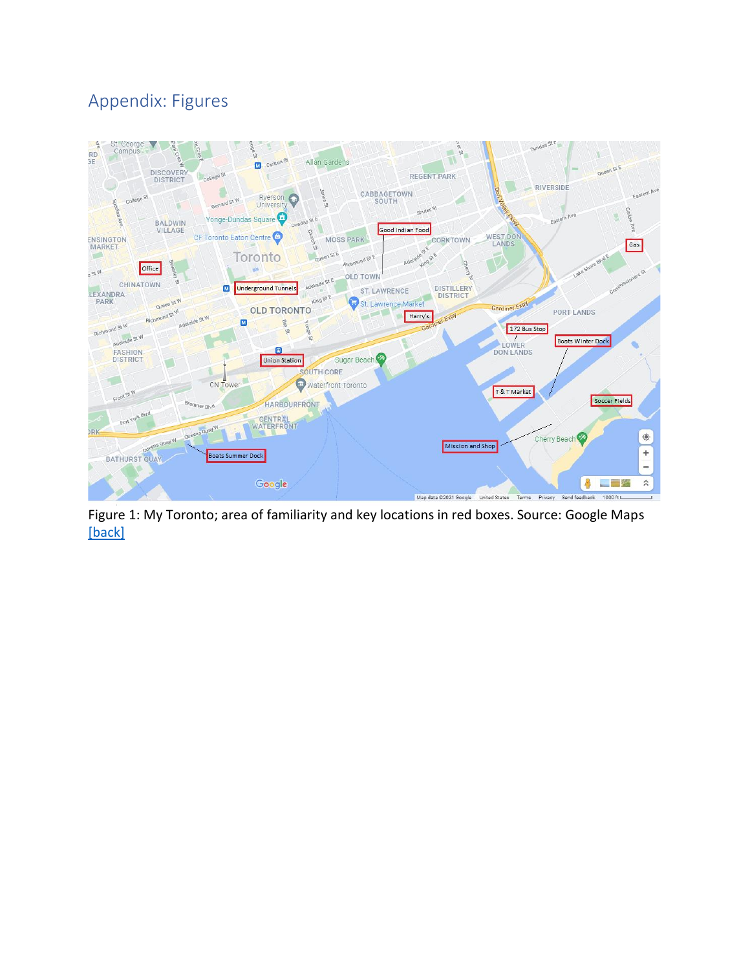# <span id="page-12-0"></span>Appendix: Figures

<span id="page-12-1"></span>

Figure 1: My Toronto; area of familiarity and key locations in red boxes. Source: Google Maps [\[back\]](#page-1-1)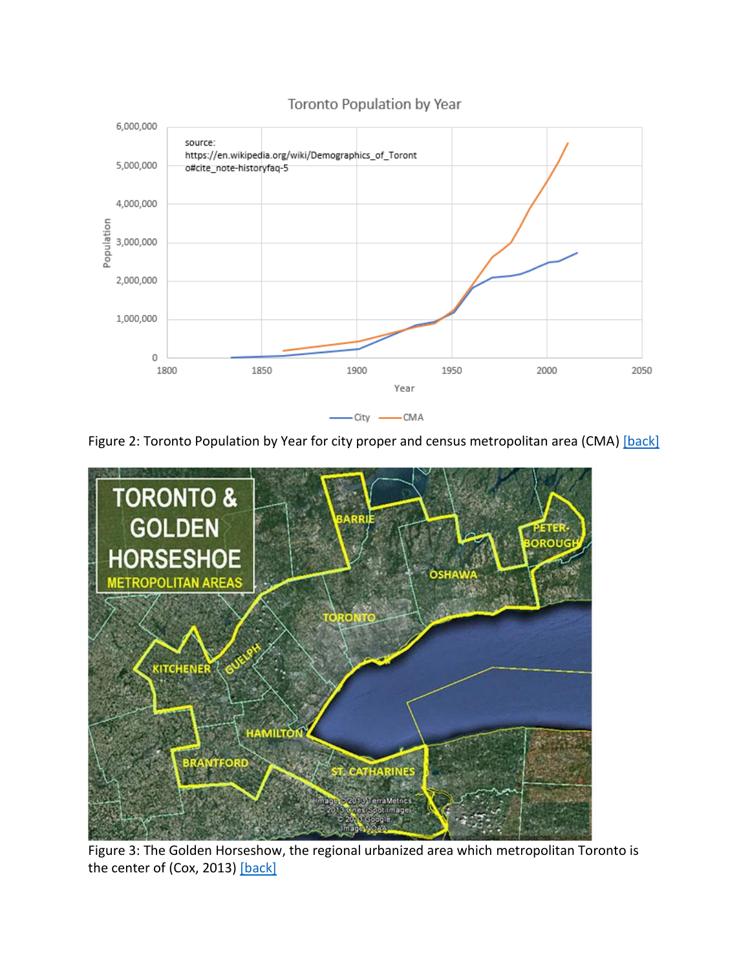<span id="page-13-0"></span>

#### Toronto Population by Year

Figure 2: Toronto Population by Year for city proper and census metropolitan area (CMA) [\[back\]](#page-2-1)

<span id="page-13-1"></span>

Figure 3: The Golden Horseshow, the regional urbanized area which metropolitan Toronto is the center of (Cox, 2013) [\[back\]](#page-2-2)